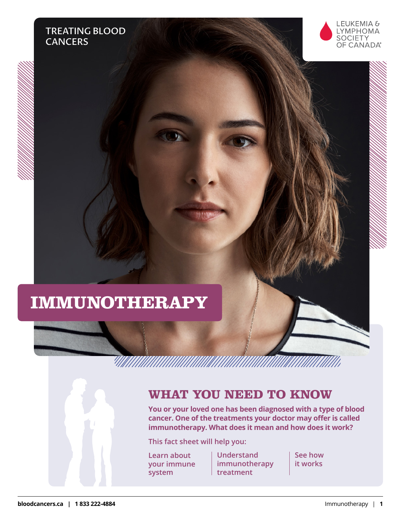



# **IMMUNOTHERAPY**

# **WHAT YOU NEED TO KNOW**

**You or your loved one has been diagnosed with a type of blood cancer. One of the treatments your doctor may offer is called immunotherapy. What does it mean and how does it work?**

**This fact sheet will help you:**

**Learn about your immune system**

**Understand immunotherapy treatment**

**See how it works**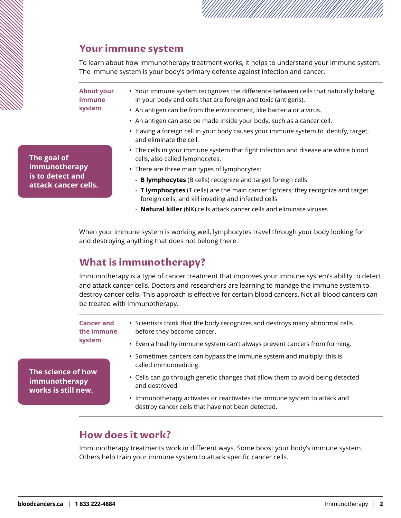

### **Your immune system**

To learn about how immunotherapy treatment works, it helps to understand your immune system. The immune system is your body's primary defense against infection and cancer.

**About your immune system**

- • Your immune system recognizes the difference between cells that naturally belong in your body and cells that are foreign and toxic (antigens).
- An antigen can be from the environment, like bacteria or a virus.
- An antigen can also be made inside your body, such as a cancer cell.
- Having a foreign cell in your body causes your immune system to identify, target, and eliminate the cell.
- The cells in your immune system that fight infection and disease are white blood cells, also called lymphocytes.
- There are three main types of lymphocytes:
	- **B lymphocytes** (B cells) recognize and target foreign cells
- **T lymphocytes** (T cells) are the main cancer fighters; they recognize and target foreign cells, and kill invading and infected cells
- **Natural killer** (NK) cells attack cancer cells and eliminate viruses

When your immune system is working well, lymphocytes travel through your body looking for and destroying anything that does not belong there.

# **What is immunotherapy?**

Immunotherapy is a type of cancer treatment that improves your immune system's ability to detect and attack cancer cells. Doctors and researchers are learning to manage the immune system to destroy cancer cells. This approach is effective for certain blood cancers. Not all blood cancers can be treated with immunotherapy.

**Cancer and the immune system** • Scientists think that the body recognizes and destroys many abnormal cells before they become cancer. • Even a healthy immune system can't always prevent cancers from forming.

- Sometimes cancers can bypass the immune system and multiply: this is called immunoediting.
- Cells can go through genetic changes that allow them to avoid being detected and destroyed.
- Immunotherapy activates or reactivates the immune system to attack and destroy cancer cells that have not been detected.

## **How does it work?**

Immunotherapy treatments work in different ways. Some boost your body's immune system. Others help train your immune system to attack specific cancer cells.

**The science of how immunotherapy works is still new.**

**immunotherapy is to detect and attack cancer cells.**

**The goal of**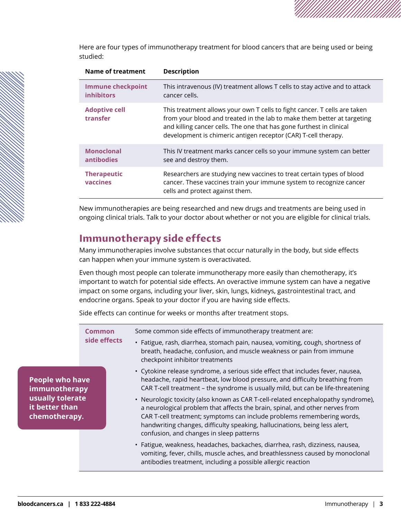Here are four types of immunotherapy treatment for blood cancers that are being used or being studied:

| Name of treatment                             | <b>Description</b>                                                                                                                                                                                                                                                                             |
|-----------------------------------------------|------------------------------------------------------------------------------------------------------------------------------------------------------------------------------------------------------------------------------------------------------------------------------------------------|
| <b>Immune checkpoint</b><br><b>inhibitors</b> | This intravenous (IV) treatment allows T cells to stay active and to attack<br>cancer cells.                                                                                                                                                                                                   |
| <b>Adoptive cell</b><br>transfer              | This treatment allows your own T cells to fight cancer. T cells are taken<br>from your blood and treated in the lab to make them better at targeting<br>and killing cancer cells. The one that has gone furthest in clinical<br>development is chimeric antigen receptor (CAR) T-cell therapy. |
| <b>Monoclonal</b><br><b>antibodies</b>        | This IV treatment marks cancer cells so your immune system can better<br>see and destroy them.                                                                                                                                                                                                 |
| <b>Therapeutic</b><br>vaccines                | Researchers are studying new vaccines to treat certain types of blood<br>cancer. These vaccines train your immune system to recognize cancer<br>cells and protect against them.                                                                                                                |

New immunotherapies are being researched and new drugs and treatments are being used in ongoing clinical trials. Talk to your doctor about whether or not you are eligible for clinical trials.

## **Immunotherapy side effects**

Many immunotherapies involve substances that occur naturally in the body, but side effects can happen when your immune system is overactivated.

Even though most people can tolerate immunotherapy more easily than chemotherapy, it's important to watch for potential side effects. An overactive immune system can have a negative impact on some organs, including your liver, skin, lungs, kidneys, gastrointestinal tract, and endocrine organs. Speak to your doctor if you are having side effects.

Side effects can continue for weeks or months after treatment stops.

| Common<br>side effects                                                                         | Some common side effects of immunotherapy treatment are: |                                                                                                                                                                                                                                                                                                                                                                        |
|------------------------------------------------------------------------------------------------|----------------------------------------------------------|------------------------------------------------------------------------------------------------------------------------------------------------------------------------------------------------------------------------------------------------------------------------------------------------------------------------------------------------------------------------|
|                                                                                                |                                                          | • Fatigue, rash, diarrhea, stomach pain, nausea, vomiting, cough, shortness of<br>breath, headache, confusion, and muscle weakness or pain from immune<br>checkpoint inhibitor treatments                                                                                                                                                                              |
| <b>People who have</b><br>immunotherapy<br>usually tolerate<br>it better than<br>chemotherapy. |                                                          | • Cytokine release syndrome, a serious side effect that includes fever, nausea,<br>headache, rapid heartbeat, low blood pressure, and difficulty breathing from<br>CAR T-cell treatment - the syndrome is usually mild, but can be life-threatening                                                                                                                    |
|                                                                                                |                                                          | • Neurologic toxicity (also known as CAR T-cell-related encephalopathy syndrome),<br>a neurological problem that affects the brain, spinal, and other nerves from<br>CAR T-cell treatment; symptoms can include problems remembering words,<br>handwriting changes, difficulty speaking, hallucinations, being less alert,<br>confusion, and changes in sleep patterns |
|                                                                                                |                                                          | · Fatigue, weakness, headaches, backaches, diarrhea, rash, dizziness, nausea,<br>vomiting, fever, chills, muscle aches, and breathlessness caused by monoclonal<br>antibodies treatment, including a possible allergic reaction                                                                                                                                        |